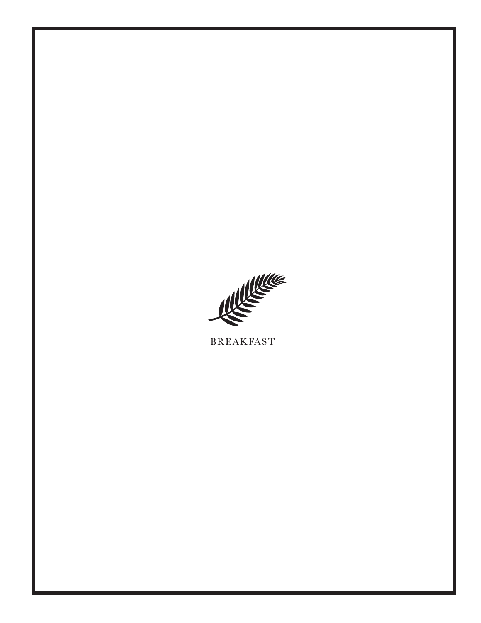

**BREAKFAST**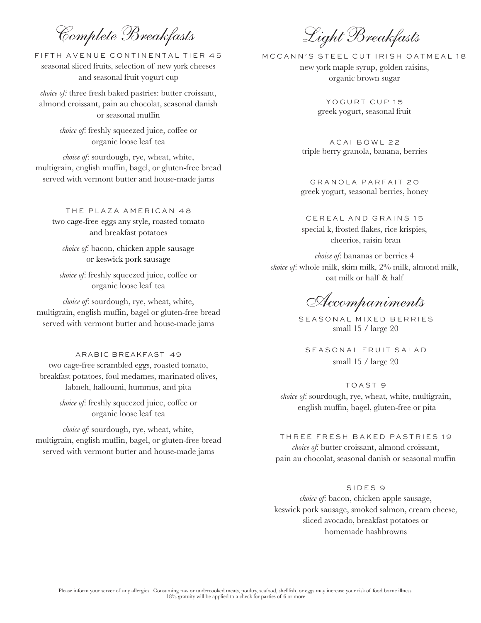Complete Breakfasts

FIFTH AVENUE CONTINENTAL TIER 45 seasonal sliced fruits, selection of new york cheeses and seasonal fruit yogurt cup

*choice of:* three fresh baked pastries: butter croissant, almond croissant, pain au chocolat, seasonal danish or seasonal muffin

> *choice of*: freshly squeezed juice, coffee or organic loose leaf tea

*choice of*: sourdough, rye, wheat, white, multigrain, english muffin, bagel, or gluten-free bread served with vermont butter and house-made jams

THE PLAZA AMERICAN 48 two cage-free eggs any style, roasted tomato and breakfast potatoes

*choice of*: bacon, chicken apple sausage or keswick pork sausage

*choice of*: freshly squeezed juice, coffee or organic loose leaf tea

*choice of*: sourdough, rye, wheat, white, multigrain, english muffin, bagel or gluten-free bread served with vermont butter and house-made jams

ARABIC BREAKFAST 49 two cage-free scrambled eggs, roasted tomato, breakfast potatoes, foul medames, marinated olives, labneh, halloumi, hummus, and pita

> *choice of*: freshly squeezed juice, coffee or organic loose leaf tea

*choice of:* sourdough, rye, wheat, white, multigrain, english muffin, bagel, or gluten-free bread served with vermont butter and house-made jams

Light Breakfasts

MCCANN'S STEEL CUT IRISH OATMEAL 18 new york maple syrup, golden raisins, organic brown sugar

> YOGURT CUP 15 greek yogurt, seasonal fruit

A C AI BOWL 2 2 triple berry granola, banana, berries

GRANOLA PARFAIT 20 greek yogurt, seasonal berries, honey

CEREAL AND GRAINS 15 special k, frosted flakes, rice krispies, cheerios, raisin bran

*choice of*: bananas or berries 4 *choice of*: whole milk, skim milk, 2% milk, almond milk, oat milk or half & half

Accompaniments

SEASONAL MIXED BERRIES small 15 / large 20

SEASONAL FRUIT SALAD small 15 / large 20

TOAST 9 *choice of*: sourdough, rye, wheat, white, multigrain, english muffin, bagel, gluten-free or pita

THREE FRESH BAKED PASTRIES 19 *choice of*: butter croissant, almond croissant, pain au chocolat, seasonal danish or seasonal muffin

## SIDES 9

*choice of*: bacon, chicken apple sausage, keswick pork sausage, smoked salmon, cream cheese, sliced avocado, breakfast potatoes or homemade hashbrowns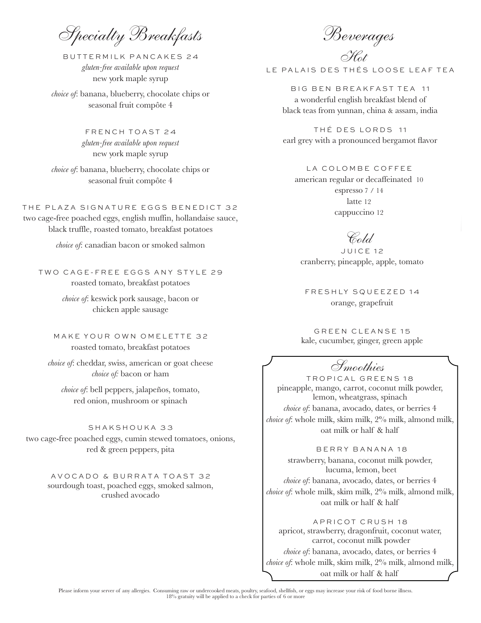Specialty Breakfasts

BUTTERMILK PANCAKES 24 *gluten-free available upon request* new york maple syrup

*choice of*: banana, blueberry, chocolate chips or seasonal fruit compôte 4

> FRENCH TOAST 24 *gluten-free available upon request* new york maple syrup

*choice of*: banana, blueberry, chocolate chips or seasonal fruit compôte 4

THE PLAZA SIGNATURE EGGS BENEDICT 32 two cage-free poached eggs, english muffin, hollandaise sauce, black truffle, roasted tomato, breakfast potatoes

*choice of*: canadian bacon or smoked salmon

TWO CAGE-FREE EGGS ANY STYLE 29 roasted tomato, breakfast potatoes

> *choice of*: keswick pork sausage, bacon or chicken apple sausage

MAKE YOUR OWN OMELETTE 32 roasted tomato, breakfast potatoes

*choice of*: cheddar, swiss, american or goat cheese *choice of:* bacon or ham

*choice of*: bell peppers, jalapeños, tomato, red onion, mushroom or spinach

SHAKSHOUKA 33 two cage-free poached eggs, cumin stewed tomatoes, onions, red & green peppers, pita

> AVOCADO & BURRATA TOAST 32 sourdough toast, poached eggs, smoked salmon, crushed avocado

Beverages

Hot LE PALAIS DES THÉS LOOSE LEAF TEA

BIG BEN BREAKFAST TEA 11 a wonderful english breakfast blend of black teas from yunnan, china & assam, india

THÉ DES LORDS 11 earl grey with a pronounced bergamot flavor

LA COLOMBE COFFEE

american regular or decaffeinated 10 espresso 7 / 14 latte 12 cappuccino 12

## Cold

JUICE 12 cranberry, pineapple, apple, tomato

FRESHLY SQUEEZED 14 orange, grapefruit

GREEN CLEANSE 15 kale, cucumber, ginger, green apple

Smoothies

TROPICAL GREENS 18 pineapple, mango, carrot, coconut milk powder, lemon, wheatgrass, spinach *choice of*: banana, avocado, dates, or berries 4 *choice of*: whole milk, skim milk, 2% milk, almond milk, oat milk or half & half

 BERRY BANANA 18 strawberry, banana, coconut milk powder, lucuma, lemon, beet *choice of*: banana, avocado, dates, or berries 4 *choice of*: whole milk, skim milk, 2% milk, almond milk, oat milk or half & half

APRICOT CRUSH 18 apricot, strawberry, dragonfruit, coconut water, carrot, coconut milk powder *choice of*: banana, avocado, dates, or berries 4 *choice of*: whole milk, skim milk, 2% milk, almond milk, oat milk or half & half

Please inform your server of any allergies. Consuming raw or undercooked meats, poultry, seafood, shellfish, or eggs may increase your risk of food borne illness.<br>18% gratuity will be applied to a check for parties of 6 or